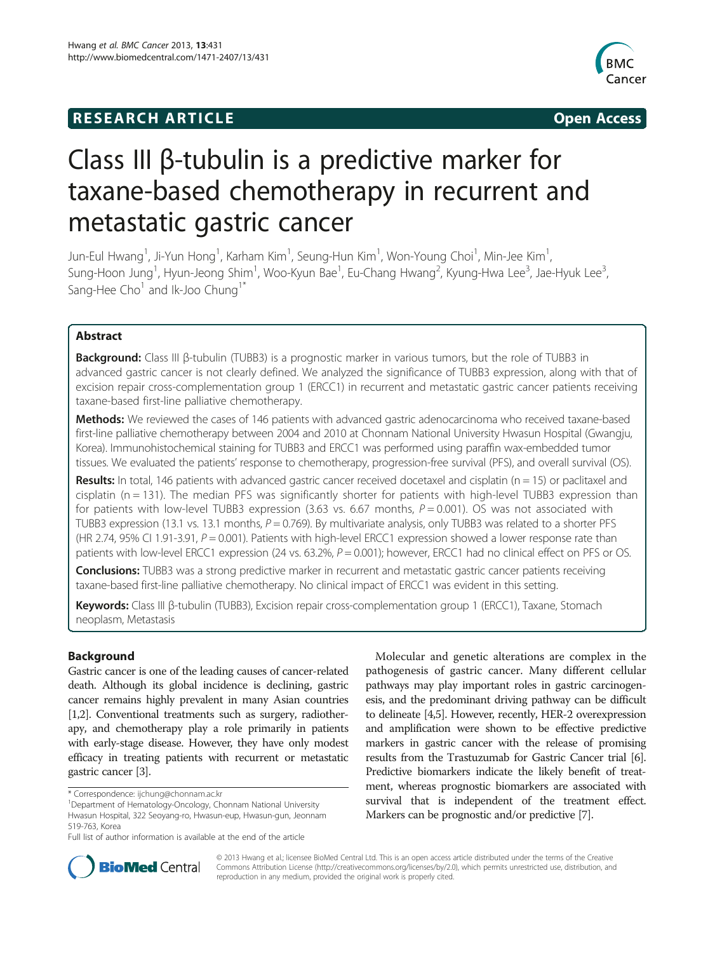# **RESEARCH ARTICLE Example 2014 The SEAR CH ACCESS**



# Class III β-tubulin is a predictive marker for taxane-based chemotherapy in recurrent and metastatic gastric cancer

Jun-Eul Hwang<sup>1</sup>, Ji-Yun Hong<sup>1</sup>, Karham Kim<sup>1</sup>, Seung-Hun Kim<sup>1</sup>, Won-Young Choi<sup>1</sup>, Min-Jee Kim<sup>1</sup> , Sung-Hoon Jung<sup>1</sup>, Hyun-Jeong Shim<sup>1</sup>, Woo-Kyun Bae<sup>1</sup>, Eu-Chang Hwang<sup>2</sup>, Kyung-Hwa Lee<sup>3</sup>, Jae-Hyuk Lee<sup>3</sup> , Sang-Hee  $Cho<sup>1</sup>$  and Ik-Joo Chung<sup>1\*</sup>

# Abstract

Background: Class III β-tubulin (TUBB3) is a prognostic marker in various tumors, but the role of TUBB3 in advanced gastric cancer is not clearly defined. We analyzed the significance of TUBB3 expression, along with that of excision repair cross-complementation group 1 (ERCC1) in recurrent and metastatic gastric cancer patients receiving taxane-based first-line palliative chemotherapy.

Methods: We reviewed the cases of 146 patients with advanced gastric adenocarcinoma who received taxane-based first-line palliative chemotherapy between 2004 and 2010 at Chonnam National University Hwasun Hospital (Gwangju, Korea). Immunohistochemical staining for TUBB3 and ERCC1 was performed using paraffin wax-embedded tumor tissues. We evaluated the patients' response to chemotherapy, progression-free survival (PFS), and overall survival (OS).

Results: In total, 146 patients with advanced gastric cancer received docetaxel and cisplatin ( $n = 15$ ) or paclitaxel and  $c$ isplatin (n = 131). The median PFS was significantly shorter for patients with high-level TUBB3 expression than for patients with low-level TUBB3 expression (3.63 vs. 6.67 months,  $P = 0.001$ ). OS was not associated with TUBB3 expression (13.1 vs. 13.1 months,  $P = 0.769$ ). By multivariate analysis, only TUBB3 was related to a shorter PFS (HR 2.74, 95% CI 1.91-3.91,  $P = 0.001$ ). Patients with high-level ERCC1 expression showed a lower response rate than patients with low-level ERCC1 expression (24 vs. 63.2%,  $P = 0.001$ ); however, ERCC1 had no clinical effect on PFS or OS.

**Conclusions:** TUBB3 was a strong predictive marker in recurrent and metastatic gastric cancer patients receiving taxane-based first-line palliative chemotherapy. No clinical impact of ERCC1 was evident in this setting.

Keywords: Class III β-tubulin (TUBB3), Excision repair cross-complementation group 1 (ERCC1), Taxane, Stomach neoplasm, Metastasis

# Background

Gastric cancer is one of the leading causes of cancer-related death. Although its global incidence is declining, gastric cancer remains highly prevalent in many Asian countries [[1,2](#page-6-0)]. Conventional treatments such as surgery, radiotherapy, and chemotherapy play a role primarily in patients with early-stage disease. However, they have only modest efficacy in treating patients with recurrent or metastatic gastric cancer [\[3\]](#page-6-0).

Molecular and genetic alterations are complex in the pathogenesis of gastric cancer. Many different cellular pathways may play important roles in gastric carcinogenesis, and the predominant driving pathway can be difficult to delineate [\[4,5\]](#page-6-0). However, recently, HER-2 overexpression and amplification were shown to be effective predictive markers in gastric cancer with the release of promising results from the Trastuzumab for Gastric Cancer trial [[6](#page-6-0)]. Predictive biomarkers indicate the likely benefit of treatment, whereas prognostic biomarkers are associated with survival that is independent of the treatment effect. Markers can be prognostic and/or predictive [[7](#page-6-0)].



© 2013 Hwang et al.; licensee BioMed Central Ltd. This is an open access article distributed under the terms of the Creative Commons Attribution License [\(http://creativecommons.org/licenses/by/2.0\)](http://creativecommons.org/licenses/by/2.0), which permits unrestricted use, distribution, and reproduction in any medium, provided the original work is properly cited.

<sup>\*</sup> Correspondence: [ijchung@chonnam.ac.kr](mailto:ijchung@chonnam.ac.kr) <sup>1</sup>

Department of Hematology-Oncology, Chonnam National University Hwasun Hospital, 322 Seoyang-ro, Hwasun-eup, Hwasun-gun, Jeonnam 519-763, Korea

Full list of author information is available at the end of the article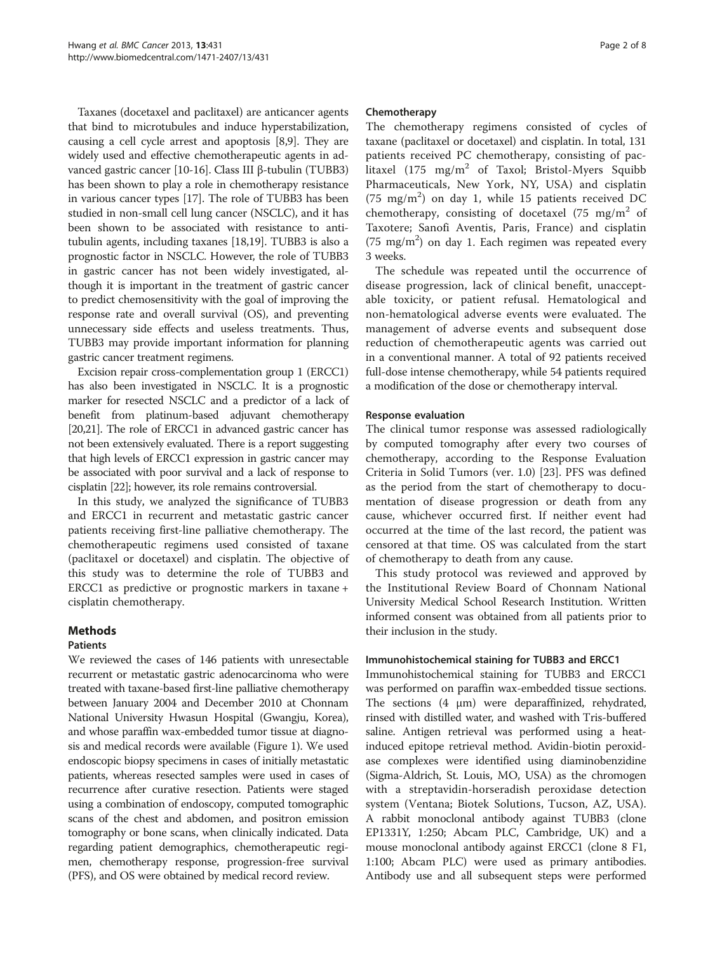Taxanes (docetaxel and paclitaxel) are anticancer agents that bind to microtubules and induce hyperstabilization, causing a cell cycle arrest and apoptosis [[8,9](#page-6-0)]. They are widely used and effective chemotherapeutic agents in advanced gastric cancer [\[10-16\]](#page-6-0). Class III β-tubulin (TUBB3) has been shown to play a role in chemotherapy resistance in various cancer types [[17](#page-6-0)]. The role of TUBB3 has been studied in non-small cell lung cancer (NSCLC), and it has been shown to be associated with resistance to antitubulin agents, including taxanes [[18](#page-6-0)[,19](#page-7-0)]. TUBB3 is also a prognostic factor in NSCLC. However, the role of TUBB3 in gastric cancer has not been widely investigated, although it is important in the treatment of gastric cancer to predict chemosensitivity with the goal of improving the response rate and overall survival (OS), and preventing unnecessary side effects and useless treatments. Thus, TUBB3 may provide important information for planning gastric cancer treatment regimens.

Excision repair cross-complementation group 1 (ERCC1) has also been investigated in NSCLC. It is a prognostic marker for resected NSCLC and a predictor of a lack of benefit from platinum-based adjuvant chemotherapy [[20,21\]](#page-7-0). The role of ERCC1 in advanced gastric cancer has not been extensively evaluated. There is a report suggesting that high levels of ERCC1 expression in gastric cancer may be associated with poor survival and a lack of response to cisplatin [[22](#page-7-0)]; however, its role remains controversial.

In this study, we analyzed the significance of TUBB3 and ERCC1 in recurrent and metastatic gastric cancer patients receiving first-line palliative chemotherapy. The chemotherapeutic regimens used consisted of taxane (paclitaxel or docetaxel) and cisplatin. The objective of this study was to determine the role of TUBB3 and ERCC1 as predictive or prognostic markers in taxane + cisplatin chemotherapy.

# Methods

# Patients

We reviewed the cases of 146 patients with unresectable recurrent or metastatic gastric adenocarcinoma who were treated with taxane-based first-line palliative chemotherapy between January 2004 and December 2010 at Chonnam National University Hwasun Hospital (Gwangju, Korea), and whose paraffin wax-embedded tumor tissue at diagnosis and medical records were available (Figure [1](#page-2-0)). We used endoscopic biopsy specimens in cases of initially metastatic patients, whereas resected samples were used in cases of recurrence after curative resection. Patients were staged using a combination of endoscopy, computed tomographic scans of the chest and abdomen, and positron emission tomography or bone scans, when clinically indicated. Data regarding patient demographics, chemotherapeutic regimen, chemotherapy response, progression-free survival (PFS), and OS were obtained by medical record review.

# Chemotherapy

The chemotherapy regimens consisted of cycles of taxane (paclitaxel or docetaxel) and cisplatin. In total, 131 patients received PC chemotherapy, consisting of paclitaxel (175 mg/m<sup>2</sup> of Taxol; Bristol-Myers Squibb Pharmaceuticals, New York, NY, USA) and cisplatin (75 mg/m<sup>2</sup>) on day 1, while 15 patients received DC chemotherapy, consisting of docetaxel  $(75 \text{ mg/m}^2 \text{ of}$ Taxotere; Sanofi Aventis, Paris, France) and cisplatin  $(75 \text{ mg/m}^2)$  on day 1. Each regimen was repeated every 3 weeks.

The schedule was repeated until the occurrence of disease progression, lack of clinical benefit, unacceptable toxicity, or patient refusal. Hematological and non-hematological adverse events were evaluated. The management of adverse events and subsequent dose reduction of chemotherapeutic agents was carried out in a conventional manner. A total of 92 patients received full-dose intense chemotherapy, while 54 patients required a modification of the dose or chemotherapy interval.

# Response evaluation

The clinical tumor response was assessed radiologically by computed tomography after every two courses of chemotherapy, according to the Response Evaluation Criteria in Solid Tumors (ver. 1.0) [[23\]](#page-7-0). PFS was defined as the period from the start of chemotherapy to documentation of disease progression or death from any cause, whichever occurred first. If neither event had occurred at the time of the last record, the patient was censored at that time. OS was calculated from the start of chemotherapy to death from any cause.

This study protocol was reviewed and approved by the Institutional Review Board of Chonnam National University Medical School Research Institution. Written informed consent was obtained from all patients prior to their inclusion in the study.

# Immunohistochemical staining for TUBB3 and ERCC1

Immunohistochemical staining for TUBB3 and ERCC1 was performed on paraffin wax-embedded tissue sections. The sections (4 μm) were deparaffinized, rehydrated, rinsed with distilled water, and washed with Tris-buffered saline. Antigen retrieval was performed using a heatinduced epitope retrieval method. Avidin-biotin peroxidase complexes were identified using diaminobenzidine (Sigma-Aldrich, St. Louis, MO, USA) as the chromogen with a streptavidin-horseradish peroxidase detection system (Ventana; Biotek Solutions, Tucson, AZ, USA). A rabbit monoclonal antibody against TUBB3 (clone EP1331Y, 1:250; Abcam PLC, Cambridge, UK) and a mouse monoclonal antibody against ERCC1 (clone 8 F1, 1:100; Abcam PLC) were used as primary antibodies. Antibody use and all subsequent steps were performed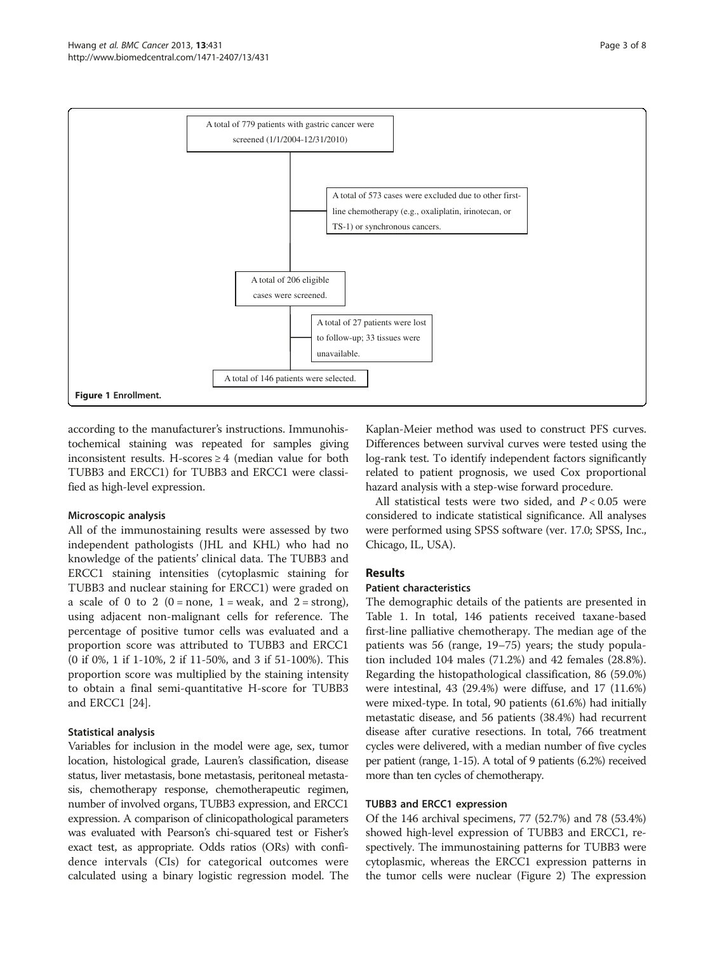<span id="page-2-0"></span>

according to the manufacturer's instructions. Immunohistochemical staining was repeated for samples giving inconsistent results. H-scores ≥ 4 (median value for both TUBB3 and ERCC1) for TUBB3 and ERCC1 were classified as high-level expression.

# Microscopic analysis

All of the immunostaining results were assessed by two independent pathologists (JHL and KHL) who had no knowledge of the patients' clinical data. The TUBB3 and ERCC1 staining intensities (cytoplasmic staining for TUBB3 and nuclear staining for ERCC1) were graded on a scale of 0 to 2 (0 = none, 1 = weak, and  $2 =$  strong), using adjacent non-malignant cells for reference. The percentage of positive tumor cells was evaluated and a proportion score was attributed to TUBB3 and ERCC1 (0 if 0%, 1 if 1-10%, 2 if 11-50%, and 3 if 51-100%). This proportion score was multiplied by the staining intensity to obtain a final semi-quantitative H-score for TUBB3 and ERCC1 [[24](#page-7-0)].

#### Statistical analysis

Variables for inclusion in the model were age, sex, tumor location, histological grade, Lauren's classification, disease status, liver metastasis, bone metastasis, peritoneal metastasis, chemotherapy response, chemotherapeutic regimen, number of involved organs, TUBB3 expression, and ERCC1 expression. A comparison of clinicopathological parameters was evaluated with Pearson's chi-squared test or Fisher's exact test, as appropriate. Odds ratios (ORs) with confidence intervals (CIs) for categorical outcomes were calculated using a binary logistic regression model. The

Kaplan-Meier method was used to construct PFS curves. Differences between survival curves were tested using the log-rank test. To identify independent factors significantly related to patient prognosis, we used Cox proportional hazard analysis with a step-wise forward procedure.

All statistical tests were two sided, and  $P < 0.05$  were considered to indicate statistical significance. All analyses were performed using SPSS software (ver. 17.0; SPSS, Inc., Chicago, IL, USA).

# Results

# Patient characteristics

The demographic details of the patients are presented in Table [1.](#page-3-0) In total, 146 patients received taxane-based first-line palliative chemotherapy. The median age of the patients was 56 (range, 19–75) years; the study population included 104 males (71.2%) and 42 females (28.8%). Regarding the histopathological classification, 86 (59.0%) were intestinal, 43 (29.4%) were diffuse, and 17 (11.6%) were mixed-type. In total, 90 patients (61.6%) had initially metastatic disease, and 56 patients (38.4%) had recurrent disease after curative resections. In total, 766 treatment cycles were delivered, with a median number of five cycles per patient (range, 1-15). A total of 9 patients (6.2%) received more than ten cycles of chemotherapy.

#### TUBB3 and ERCC1 expression

Of the 146 archival specimens, 77 (52.7%) and 78 (53.4%) showed high-level expression of TUBB3 and ERCC1, respectively. The immunostaining patterns for TUBB3 were cytoplasmic, whereas the ERCC1 expression patterns in the tumor cells were nuclear (Figure [2](#page-4-0)) The expression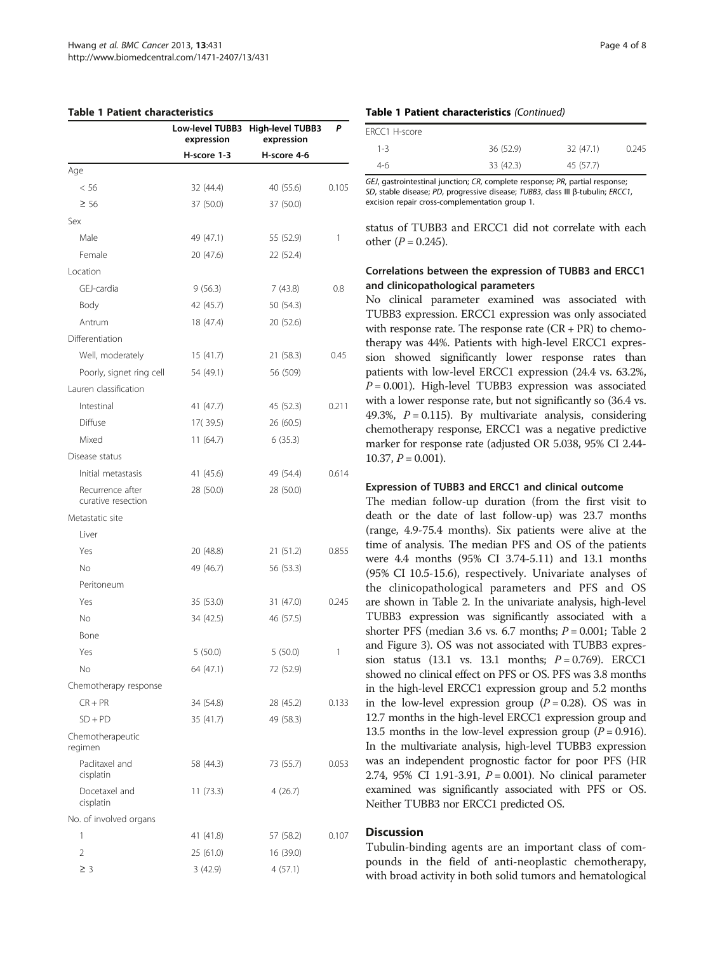#### <span id="page-3-0"></span>Table 1 Patient characteristics

|                                        | Low-level TUBB3<br>expression | <b>High-level TUBB3</b><br>expression | P     |
|----------------------------------------|-------------------------------|---------------------------------------|-------|
|                                        | H-score 1-3                   | H-score 4-6                           |       |
| Age                                    |                               |                                       |       |
| < 56                                   | 32 (44.4)                     | 40 (55.6)                             | 0.105 |
| $\geq 56$                              | 37 (50.0)                     | 37 (50.0)                             |       |
| Sex                                    |                               |                                       |       |
| Male                                   | 49 (47.1)                     | 55 (52.9)                             | 1     |
| Female                                 | 20 (47.6)                     | 22 (52.4)                             |       |
| Location                               |                               |                                       |       |
| GEJ-cardia                             | 9(56.3)                       | 7(43.8)                               | 0.8   |
| Body                                   | 42 (45.7)                     | 50 (54.3)                             |       |
| Antrum                                 | 18 (47.4)                     | 20 (52.6)                             |       |
| Differentiation                        |                               |                                       |       |
| Well, moderately                       | 15 (41.7)                     | 21 (58.3)                             | 0.45  |
| Poorly, signet ring cell               | 54 (49.1)                     | 56 (509)                              |       |
| Lauren classification                  |                               |                                       |       |
| Intestinal                             | 41 (47.7)                     | 45 (52.3)                             | 0.211 |
| Diffuse                                | 17(39.5)                      | 26 (60.5)                             |       |
| Mixed                                  | 11(64.7)                      | 6(35.3)                               |       |
| Disease status                         |                               |                                       |       |
| Initial metastasis                     | 41 (45.6)                     | 49 (54.4)                             | 0.614 |
| Recurrence after<br>curative resection | 28 (50.0)                     | 28 (50.0)                             |       |
| Metastatic site                        |                               |                                       |       |
| Liver                                  |                               |                                       |       |
| Yes                                    | 20 (48.8)                     | 21 (51.2)                             | 0.855 |
| <b>No</b>                              | 49 (46.7)                     | 56 (53.3)                             |       |
| Peritoneum                             |                               |                                       |       |
| Yes                                    | 35 (53.0)                     | 31 (47.0)                             | 0.245 |
| No                                     | 34 (42.5)                     | 46 (57.5)                             |       |
| Bone                                   |                               |                                       |       |
| Yes                                    | 5(50.0)                       | 5(50.0)                               | 1     |
| No                                     | 64 (47.1)                     | 72 (52.9)                             |       |
| Chemotherapy response                  |                               |                                       |       |
| $CR + PR$                              | 34 (54.8)                     | 28 (45.2)                             | 0.133 |
| $SD + PD$                              | 35 (41.7)                     | 49 (58.3)                             |       |
| Chemotherapeutic<br>regimen            |                               |                                       |       |
| Paclitaxel and<br>cisplatin            | 58 (44.3)                     | 73 (55.7)                             | 0.053 |
| Docetaxel and<br>cisplatin             | 11(73.3)                      | 4(26.7)                               |       |
| No. of involved organs                 |                               |                                       |       |
| 1                                      | 41 (41.8)                     | 57 (58.2)                             | 0.107 |
| 2                                      | 25 (61.0)                     | 16 (39.0)                             |       |
| $\geq 3$                               | 3(42.9)                       | 4(57.1)                               |       |

#### Table 1 Patient characteristics (Continued)

| FRCC1 H-score |           |           |       |
|---------------|-----------|-----------|-------|
| $1 - 3$       | 36 (52.9) | 32 (47.1) | 0.245 |
| 4-6           | 33 (42.3) | 45 (57.7) |       |

GEJ, gastrointestinal junction; CR, complete response; PR, partial response; SD, stable disease; PD, progressive disease; TUBB3, class III β-tubulin; ERCC1, excision repair cross-complementation group 1.

status of TUBB3 and ERCC1 did not correlate with each other  $(P = 0.245)$ .

# Correlations between the expression of TUBB3 and ERCC1 and clinicopathological parameters

No clinical parameter examined was associated with TUBB3 expression. ERCC1 expression was only associated with response rate. The response rate  $(CR + PR)$  to chemotherapy was 44%. Patients with high-level ERCC1 expression showed significantly lower response rates than patients with low-level ERCC1 expression (24.4 vs. 63.2%,  $P = 0.001$ ). High-level TUBB3 expression was associated with a lower response rate, but not significantly so (36.4 vs. 49.3%,  $P = 0.115$ ). By multivariate analysis, considering chemotherapy response, ERCC1 was a negative predictive marker for response rate (adjusted OR 5.038, 95% CI 2.44-  $10.37, P = 0.001$ ).

#### Expression of TUBB3 and ERCC1 and clinical outcome

The median follow-up duration (from the first visit to death or the date of last follow-up) was 23.7 months (range, 4.9-75.4 months). Six patients were alive at the time of analysis. The median PFS and OS of the patients were 4.4 months (95% CI 3.74-5.11) and 13.1 months (95% CI 10.5-15.6), respectively. Univariate analyses of the clinicopathological parameters and PFS and OS are shown in Table [2.](#page-5-0) In the univariate analysis, high-level TUBB3 expression was significantly associated with a shorter PFS (median 3.6 vs. 6.7 months;  $P = 0.001$ ; Table [2](#page-5-0) and Figure [3](#page-5-0)). OS was not associated with TUBB3 expression status (13.1 vs. 13.1 months;  $P = 0.769$ ). ERCC1 showed no clinical effect on PFS or OS. PFS was 3.8 months in the high-level ERCC1 expression group and 5.2 months in the low-level expression group  $(P = 0.28)$ . OS was in 12.7 months in the high-level ERCC1 expression group and 13.5 months in the low-level expression group ( $P = 0.916$ ). In the multivariate analysis, high-level TUBB3 expression was an independent prognostic factor for poor PFS (HR 2.74, 95% CI 1.91-3.91, P = 0.001). No clinical parameter examined was significantly associated with PFS or OS. Neither TUBB3 nor ERCC1 predicted OS.

# **Discussion**

Tubulin-binding agents are an important class of compounds in the field of anti-neoplastic chemotherapy, with broad activity in both solid tumors and hematological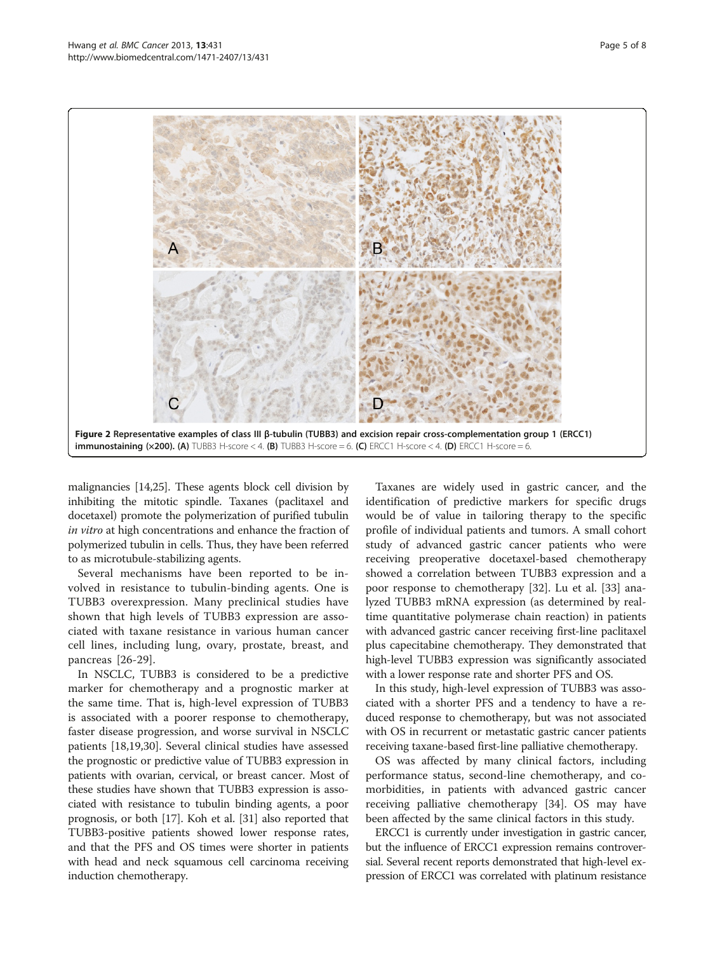<span id="page-4-0"></span>

malignancies [\[14](#page-6-0)[,25\]](#page-7-0). These agents block cell division by inhibiting the mitotic spindle. Taxanes (paclitaxel and docetaxel) promote the polymerization of purified tubulin in vitro at high concentrations and enhance the fraction of polymerized tubulin in cells. Thus, they have been referred to as microtubule-stabilizing agents.

Several mechanisms have been reported to be involved in resistance to tubulin-binding agents. One is TUBB3 overexpression. Many preclinical studies have shown that high levels of TUBB3 expression are associated with taxane resistance in various human cancer cell lines, including lung, ovary, prostate, breast, and pancreas [\[26](#page-7-0)-[29](#page-7-0)].

In NSCLC, TUBB3 is considered to be a predictive marker for chemotherapy and a prognostic marker at the same time. That is, high-level expression of TUBB3 is associated with a poorer response to chemotherapy, faster disease progression, and worse survival in NSCLC patients [[18](#page-6-0),[19](#page-7-0),[30](#page-7-0)]. Several clinical studies have assessed the prognostic or predictive value of TUBB3 expression in patients with ovarian, cervical, or breast cancer. Most of these studies have shown that TUBB3 expression is associated with resistance to tubulin binding agents, a poor prognosis, or both [[17](#page-6-0)]. Koh et al. [\[31\]](#page-7-0) also reported that TUBB3-positive patients showed lower response rates, and that the PFS and OS times were shorter in patients with head and neck squamous cell carcinoma receiving induction chemotherapy.

Taxanes are widely used in gastric cancer, and the identification of predictive markers for specific drugs would be of value in tailoring therapy to the specific profile of individual patients and tumors. A small cohort study of advanced gastric cancer patients who were receiving preoperative docetaxel-based chemotherapy showed a correlation between TUBB3 expression and a poor response to chemotherapy [[32\]](#page-7-0). Lu et al. [\[33\]](#page-7-0) analyzed TUBB3 mRNA expression (as determined by realtime quantitative polymerase chain reaction) in patients with advanced gastric cancer receiving first-line paclitaxel plus capecitabine chemotherapy. They demonstrated that high-level TUBB3 expression was significantly associated with a lower response rate and shorter PFS and OS.

In this study, high-level expression of TUBB3 was associated with a shorter PFS and a tendency to have a reduced response to chemotherapy, but was not associated with OS in recurrent or metastatic gastric cancer patients receiving taxane-based first-line palliative chemotherapy.

OS was affected by many clinical factors, including performance status, second-line chemotherapy, and comorbidities, in patients with advanced gastric cancer receiving palliative chemotherapy [\[34\]](#page-7-0). OS may have been affected by the same clinical factors in this study.

ERCC1 is currently under investigation in gastric cancer, but the influence of ERCC1 expression remains controversial. Several recent reports demonstrated that high-level expression of ERCC1 was correlated with platinum resistance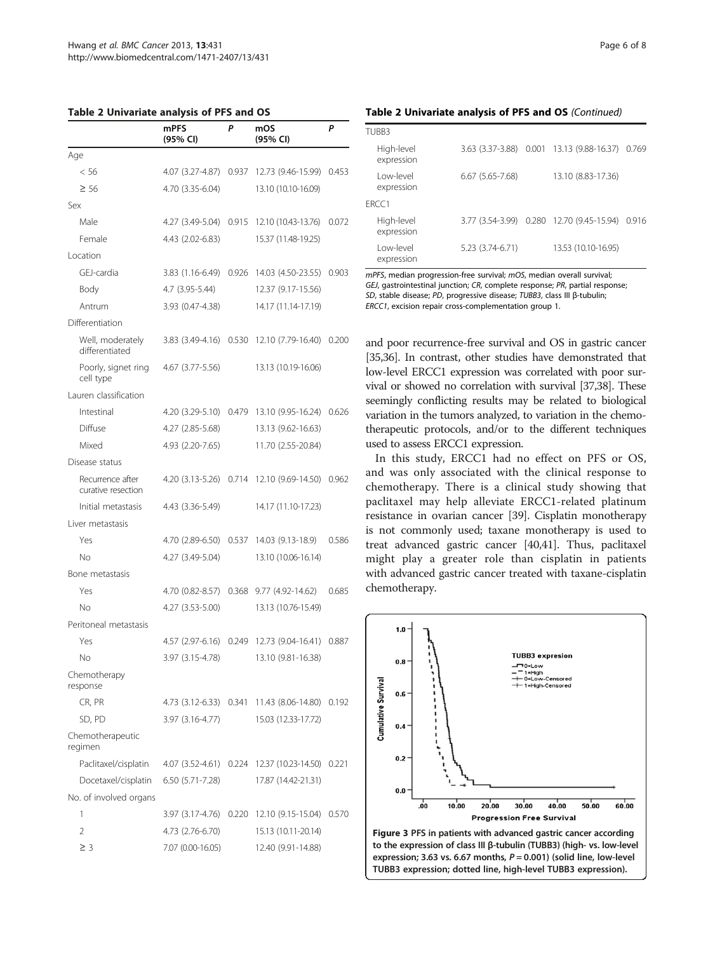<span id="page-5-0"></span>

|                                        | mPFS<br>(95% CI)       | Ρ     | mOS<br>(95% CI)     | Ρ     |
|----------------------------------------|------------------------|-------|---------------------|-------|
| Age                                    |                        |       |                     |       |
| < 56                                   | 4.07 (3.27-4.87)       | 0.937 | 12.73 (9.46-15.99)  | 0.453 |
| $\geq 56$                              | 4.70 (3.35-6.04)       |       | 13.10 (10.10-16.09) |       |
| Sex                                    |                        |       |                     |       |
| Male                                   | 4.27 (3.49-5.04)       | 0.915 | 12.10 (10.43-13.76) | 0.072 |
| Female                                 | 4.43 (2.02-6.83)       |       | 15.37 (11.48-19.25) |       |
| Location                               |                        |       |                     |       |
| GF J-cardia                            | 3.83 (1.16-6.49)       | 0.926 | 14.03 (4.50-23.55)  | 0.903 |
| Body                                   | 4.7 (3.95-5.44)        |       | 12.37 (9.17-15.56)  |       |
| Antrum                                 | 3.93 (0.47-4.38)       |       | 14.17 (11.14-17.19) |       |
| Differentiation                        |                        |       |                     |       |
| Well, moderately<br>differentiated     | 3.83 (3.49-4.16)       | 0.530 | 12.10 (7.79-16.40)  | 0.200 |
| Poorly, signet ring<br>cell type       | 4.67 (3.77-5.56)       |       | 13.13 (10.19-16.06) |       |
| Lauren classification                  |                        |       |                     |       |
| Intestinal                             | 4.20 (3.29-5.10)       | 0.479 | 13.10 (9.95-16.24)  | 0.626 |
| Diffuse                                | 4.27 (2.85-5.68)       |       | 13.13 (9.62-16.63)  |       |
| Mixed                                  | 4.93 (2.20-7.65)       |       | 11.70 (2.55-20.84)  |       |
| Disease status                         |                        |       |                     |       |
| Recurrence after<br>curative resection | 4.20 (3.13-5.26)       | 0.714 | 12.10 (9.69-14.50)  | 0.962 |
| Initial metastasis                     | 4.43 (3.36-5.49)       |       | 14.17 (11.10-17.23) |       |
| Liver metastasis                       |                        |       |                     |       |
| Yes                                    | 4.70 (2.89-6.50)       | 0.537 | 14.03 (9.13-18.9)   | 0.586 |
| No                                     | 4.27 (3.49-5.04)       |       | 13.10 (10.06-16.14) |       |
| Bone metastasis                        |                        |       |                     |       |
| Yes                                    | 4.70 (0.82-8.57)       | 0.368 | 9.77 (4.92-14.62)   | 0.685 |
| No                                     | 4.27 (3.53-5.00)       |       | 13.13 (10.76-15.49) |       |
| Peritoneal metastasis                  |                        |       |                     |       |
| Yes                                    | 4.57 (2.97-6.16)       | 0.249 | 12.73 (9.04-16.41)  | 0.887 |
| No.                                    | 3.97 (3.15-4.78)       |       | 13.10 (9.81-16.38)  |       |
| Chemotherapy<br>response               |                        |       |                     |       |
| CR, PR                                 | 4.73 (3.12-6.33) 0.341 |       | 11.43 (8.06-14.80)  | 0.192 |
| SD, PD                                 | 3.97 (3.16-4.77)       |       | 15.03 (12.33-17.72) |       |
| Chemotherapeutic<br>regimen            |                        |       |                     |       |
| Paclitaxel/cisplatin                   | 4.07 (3.52-4.61)       | 0.224 | 12.37 (10.23-14.50) | 0.221 |
| Docetaxel/cisplatin                    | $6.50(5.71 - 7.28)$    |       | 17.87 (14.42-21.31) |       |
| No. of involved organs                 |                        |       |                     |       |
| 1                                      | 3.97 (3.17-4.76)       | 0.220 | 12.10 (9.15-15.04)  | 0.570 |
| 2                                      | 4.73 (2.76-6.70)       |       | 15.13 (10.11-20.14) |       |
| $\geq$ 3                               | 7.07 (0.00-16.05)      |       | 12.40 (9.91-14.88)  |       |

| TUBB3                    |                   |                                           |       |
|--------------------------|-------------------|-------------------------------------------|-------|
| High-level<br>expression |                   | 3.63 (3.37-3.88) 0.001 13.13 (9.88-16.37) | 0.769 |
| I ow-level<br>expression | $6.67(5.65-7.68)$ | 13.10 (8.83-17.36)                        |       |
| FRCC1                    |                   |                                           |       |
| High-level<br>expression |                   | 3.77 (3.54-3.99) 0.280 12.70 (9.45-15.94) | 0.916 |
| I ow-level<br>expression | 5.23 (3.74-6.71)  | 13.53 (10.10-16.95)                       |       |

Table 2 Univariate analysis of PFS and OS (Continued)

mPFS, median progression-free survival; mOS, median overall survival; GEJ, gastrointestinal junction; CR, complete response; PR, partial response; SD, stable disease; PD, progressive disease; TUBB3, class III β-tubulin; ERCC1, excision repair cross-complementation group 1.

and poor recurrence-free survival and OS in gastric cancer [[35,36\]](#page-7-0). In contrast, other studies have demonstrated that low-level ERCC1 expression was correlated with poor survival or showed no correlation with survival [\[37,38\]](#page-7-0). These seemingly conflicting results may be related to biological variation in the tumors analyzed, to variation in the chemotherapeutic protocols, and/or to the different techniques used to assess ERCC1 expression.

In this study, ERCC1 had no effect on PFS or OS, and was only associated with the clinical response to chemotherapy. There is a clinical study showing that paclitaxel may help alleviate ERCC1-related platinum resistance in ovarian cancer [[39](#page-7-0)]. Cisplatin monotherapy is not commonly used; taxane monotherapy is used to treat advanced gastric cancer [[40,41\]](#page-7-0). Thus, paclitaxel might play a greater role than cisplatin in patients with advanced gastric cancer treated with taxane-cisplatin chemotherapy.



Figure 3 PFS in patients with advanced gastric cancer according to the expression of class III β-tubulin (TUBB3) (high- vs. low-level expression; 3.63 vs. 6.67 months,  $P = 0.001$ ) (solid line, low-level TUBB3 expression; dotted line, high-level TUBB3 expression).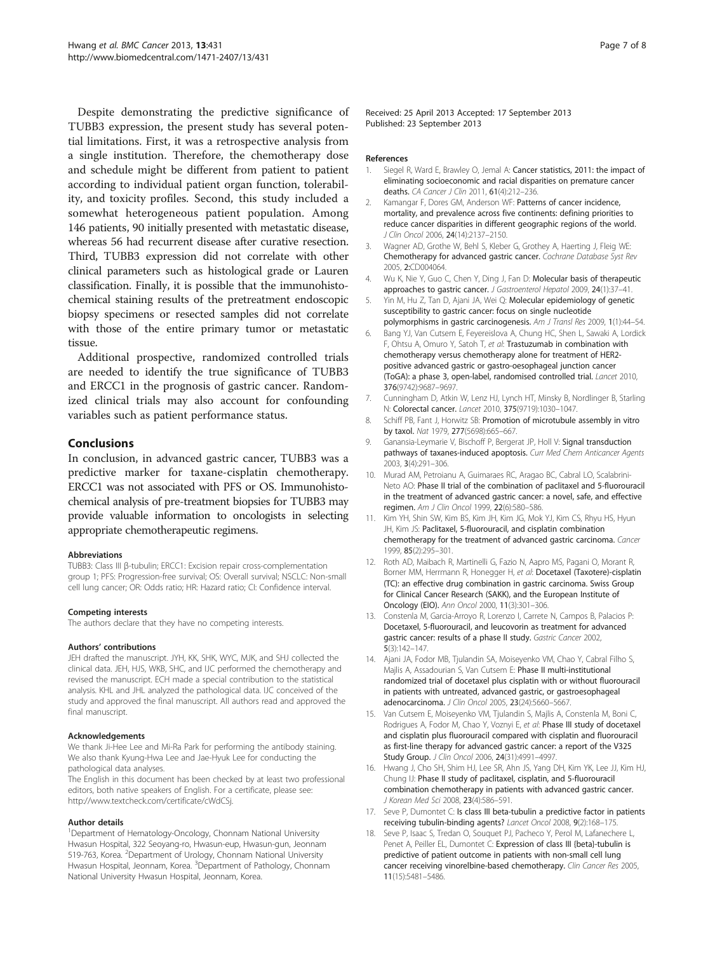<span id="page-6-0"></span>Despite demonstrating the predictive significance of TUBB3 expression, the present study has several potential limitations. First, it was a retrospective analysis from a single institution. Therefore, the chemotherapy dose and schedule might be different from patient to patient according to individual patient organ function, tolerability, and toxicity profiles. Second, this study included a somewhat heterogeneous patient population. Among 146 patients, 90 initially presented with metastatic disease, whereas 56 had recurrent disease after curative resection. Third, TUBB3 expression did not correlate with other clinical parameters such as histological grade or Lauren classification. Finally, it is possible that the immunohistochemical staining results of the pretreatment endoscopic biopsy specimens or resected samples did not correlate with those of the entire primary tumor or metastatic tissue.

Additional prospective, randomized controlled trials are needed to identify the true significance of TUBB3 and ERCC1 in the prognosis of gastric cancer. Randomized clinical trials may also account for confounding variables such as patient performance status.

# Conclusions

In conclusion, in advanced gastric cancer, TUBB3 was a predictive marker for taxane-cisplatin chemotherapy. ERCC1 was not associated with PFS or OS. Immunohistochemical analysis of pre-treatment biopsies for TUBB3 may provide valuable information to oncologists in selecting appropriate chemotherapeutic regimens.

#### Abbreviations

TUBB3: Class III β-tubulin; ERCC1: Excision repair cross-complementation group 1; PFS: Progression-free survival; OS: Overall survival; NSCLC: Non-small cell lung cancer; OR: Odds ratio; HR: Hazard ratio; CI: Confidence interval.

#### Competing interests

The authors declare that they have no competing interests.

#### Authors' contributions

JEH drafted the manuscript. JYH, KK, SHK, WYC, MJK, and SHJ collected the clinical data. JEH, HJS, WKB, SHC, and IJC performed the chemotherapy and revised the manuscript. ECH made a special contribution to the statistical analysis. KHL and JHL analyzed the pathological data. IJC conceived of the study and approved the final manuscript. All authors read and approved the final manuscript.

#### Acknowledgements

We thank Ji-Hee Lee and Mi-Ra Park for performing the antibody staining. We also thank Kyung-Hwa Lee and Jae-Hyuk Lee for conducting the pathological data analyses.

The English in this document has been checked by at least two professional editors, both native speakers of English. For a certificate, please see: <http://www.textcheck.com/certificate/cWdCSj>.

#### Author details

<sup>1</sup>Department of Hematology-Oncology, Chonnam National University Hwasun Hospital, 322 Seoyang-ro, Hwasun-eup, Hwasun-gun, Jeonnam 519-763, Korea. <sup>2</sup>Department of Urology, Chonnam National University Hwasun Hospital, Jeonnam, Korea. <sup>3</sup>Department of Pathology, Chonnam National University Hwasun Hospital, Jeonnam, Korea.

Received: 25 April 2013 Accepted: 17 September 2013 Published: 23 September 2013

#### References

- 1. Siegel R, Ward E, Brawley O, Jemal A: Cancer statistics, 2011: the impact of eliminating socioeconomic and racial disparities on premature cancer deaths. CA Cancer J Clin 2011, 61(4):212–236.
- 2. Kamangar F, Dores GM, Anderson WF: Patterns of cancer incidence, mortality, and prevalence across five continents: defining priorities to reduce cancer disparities in different geographic regions of the world. J Clin Oncol 2006, 24(14):2137–2150.
- 3. Wagner AD, Grothe W, Behl S, Kleber G, Grothey A, Haerting J, Fleig WE: Chemotherapy for advanced gastric cancer. Cochrane Database Syst Rev 2005, 2:CD004064.
- 4. Wu K, Nie Y, Guo C, Chen Y, Ding J, Fan D: Molecular basis of therapeutic approaches to gastric cancer. J Gastroenterol Hepatol 2009, 24(1):37–41.
- 5. Yin M, Hu Z, Tan D, Ajani JA, Wei Q: Molecular epidemiology of genetic susceptibility to gastric cancer: focus on single nucleotide polymorphisms in gastric carcinogenesis. Am J Transl Res 2009, 1(1):44-54.
- 6. Bang YJ, Van Cutsem E, Feyereislova A, Chung HC, Shen L, Sawaki A, Lordick F, Ohtsu A, Omuro Y, Satoh T, et al: Trastuzumab in combination with chemotherapy versus chemotherapy alone for treatment of HER2 positive advanced gastric or gastro-oesophageal junction cancer (ToGA): a phase 3, open-label, randomised controlled trial. Lancet 2010, 376(9742):9687–9697.
- 7. Cunningham D, Atkin W, Lenz HJ, Lynch HT, Minsky B, Nordlinger B, Starling N: Colorectal cancer. Lancet 2010, 375(9719):1030–1047.
- 8. Schiff PB, Fant J, Horwitz SB: Promotion of microtubule assembly in vitro by taxol. Nat 1979, 277(5698):665–667.
- 9. Ganansia-Leymarie V, Bischoff P, Bergerat JP, Holl V: Signal transduction pathways of taxanes-induced apoptosis. Curr Med Chem Anticancer Agents 2003, 3(4):291–306.
- 10. Murad AM, Petroianu A, Guimaraes RC, Aragao BC, Cabral LO, Scalabrini-Neto AO: Phase II trial of the combination of paclitaxel and 5-fluorouracil in the treatment of advanced gastric cancer: a novel, safe, and effective regimen. Am J Clin Oncol 1999, 22(6):580-586.
- 11. Kim YH, Shin SW, Kim BS, Kim JH, Kim JG, Mok YJ, Kim CS, Rhyu HS, Hyun JH, Kim JS: Paclitaxel, 5-fluorouracil, and cisplatin combination chemotherapy for the treatment of advanced gastric carcinoma. Cancer 1999, 85(2):295–301.
- 12. Roth AD, Maibach R, Martinelli G, Fazio N, Aapro MS, Pagani O, Morant R, Borner MM, Herrmann R, Honegger H, et al: Docetaxel (Taxotere)-cisplatin (TC): an effective drug combination in gastric carcinoma. Swiss Group for Clinical Cancer Research (SAKK), and the European Institute of Oncology (EIO). Ann Oncol 2000, 11(3):301–306.
- 13. Constenla M, Garcia-Arroyo R, Lorenzo I, Carrete N, Campos B, Palacios P: Docetaxel, 5-fluorouracil, and leucovorin as treatment for advanced gastric cancer: results of a phase II study. Gastric Cancer 2002, 5(3):142–147.
- 14. Ajani JA, Fodor MB, Tjulandin SA, Moiseyenko VM, Chao Y, Cabral Filho S, Majlis A, Assadourian S, Van Cutsem E: Phase II multi-institutional randomized trial of docetaxel plus cisplatin with or without fluorouracil in patients with untreated, advanced gastric, or gastroesophageal adenocarcinoma. J Clin Oncol 2005, 23(24):5660–5667.
- 15. Van Cutsem E, Moiseyenko VM, Tjulandin S, Majlis A, Constenla M, Boni C, Rodrigues A, Fodor M, Chao Y, Voznyi E, et al: Phase III study of docetaxel and cisplatin plus fluorouracil compared with cisplatin and fluorouracil as first-line therapy for advanced gastric cancer: a report of the V325 Study Group. J Clin Oncol 2006, 24(31):4991–4997.
- 16. Hwang J, Cho SH, Shim HJ, Lee SR, Ahn JS, Yang DH, Kim YK, Lee JJ, Kim HJ, Chung IJ: Phase II study of paclitaxel, cisplatin, and 5-fluorouracil combination chemotherapy in patients with advanced gastric cancer. J Korean Med Sci 2008, 23(4):586-591.
- 17. Seve P, Dumontet C: Is class III beta-tubulin a predictive factor in patients receiving tubulin-binding agents? Lancet Oncol 2008, 9(2):168–175.
- 18. Seve P, Isaac S, Tredan O, Souquet PJ, Pacheco Y, Perol M, Lafanechere L, Penet A, Peiller EL, Dumontet C: Expression of class III {beta}-tubulin is predictive of patient outcome in patients with non-small cell lung cancer receiving vinorelbine-based chemotherapy. Clin Cancer Res 2005, 11(15):5481–5486.